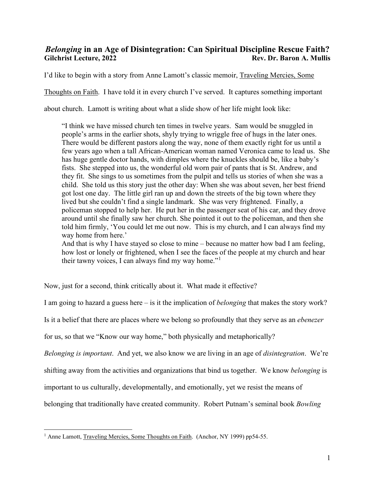# *Belonging* **in an Age of Disintegration: Can Spiritual Discipline Rescue Faith? Rev. Dr. Baron A. Mullis**

I'd like to begin with a story from Anne Lamott's classic memoir, Traveling Mercies, Some

Thoughts on Faith. I have told it in every church I've served. It captures something important

about church. Lamott is writing about what a slide show of her life might look like:

"I think we have missed church ten times in twelve years. Sam would be snuggled in people's arms in the earlier shots, shyly trying to wriggle free of hugs in the later ones. There would be different pastors along the way, none of them exactly right for us until a few years ago when a tall African-American woman named Veronica came to lead us. She has huge gentle doctor hands, with dimples where the knuckles should be, like a baby's fists. She stepped into us, the wonderful old worn pair of pants that is St. Andrew, and they fit. She sings to us sometimes from the pulpit and tells us stories of when she was a child. She told us this story just the other day: When she was about seven, her best friend got lost one day. The little girl ran up and down the streets of the big town where they lived but she couldn't find a single landmark. She was very frightened. Finally, a policeman stopped to help her. He put her in the passenger seat of his car, and they drove around until she finally saw her church. She pointed it out to the policeman, and then she told him firmly, 'You could let me out now. This is my church, and I can always find my way home from here.'

And that is why I have stayed so close to mine – because no matter how bad I am feeling, how lost or lonely or frightened, when I see the faces of the people at my church and hear their tawny voices, I can always find my way home."<sup>[1](#page-0-0)</sup>

Now, just for a second, think critically about it. What made it effective?

I am going to hazard a guess here – is it the implication of *belonging* that makes the story work?

Is it a belief that there are places where we belong so profoundly that they serve as an *ebenezer*

for us, so that we "Know our way home," both physically and metaphorically?

*Belonging is important*. And yet, we also know we are living in an age of *disintegration*. We're

shifting away from the activities and organizations that bind us together. We know *belonging* is

important to us culturally, developmentally, and emotionally, yet we resist the means of

belonging that traditionally have created community. Robert Putnam's seminal book *Bowling* 

<span id="page-0-0"></span><sup>&</sup>lt;sup>1</sup> Anne Lamott, Traveling Mercies, Some Thoughts on Faith. (Anchor, NY 1999) pp54-55.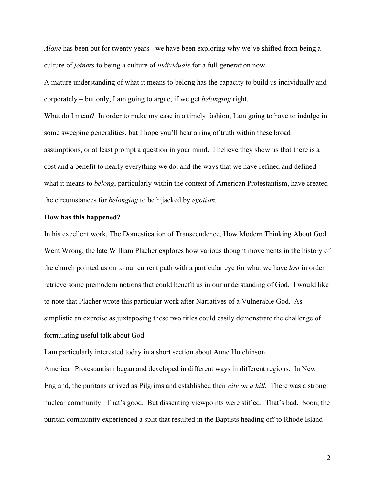*Alone* has been out for twenty years - we have been exploring why we've shifted from being a culture of *joiners* to being a culture of *individuals* for a full generation now.

A mature understanding of what it means to belong has the capacity to build us individually and corporately – but only, I am going to argue, if we get *belonging* right.

What do I mean? In order to make my case in a timely fashion, I am going to have to indulge in some sweeping generalities, but I hope you'll hear a ring of truth within these broad assumptions, or at least prompt a question in your mind. I believe they show us that there is a cost and a benefit to nearly everything we do, and the ways that we have refined and defined what it means to *belong*, particularly within the context of American Protestantism, have created the circumstances for *belonging* to be hijacked by *egotism.*

#### **How has this happened?**

In his excellent work, The Domestication of Transcendence, How Modern Thinking About God Went Wrong, the late William Placher explores how various thought movements in the history of the church pointed us on to our current path with a particular eye for what we have *lost* in order retrieve some premodern notions that could benefit us in our understanding of God. I would like to note that Placher wrote this particular work after Narratives of a Vulnerable God. As simplistic an exercise as juxtaposing these two titles could easily demonstrate the challenge of formulating useful talk about God.

I am particularly interested today in a short section about Anne Hutchinson.

American Protestantism began and developed in different ways in different regions. In New England, the puritans arrived as Pilgrims and established their *city on a hill.* There was a strong, nuclear community. That's good. But dissenting viewpoints were stifled. That's bad. Soon, the puritan community experienced a split that resulted in the Baptists heading off to Rhode Island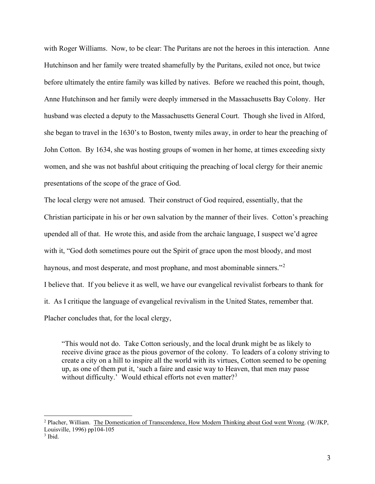with Roger Williams. Now, to be clear: The Puritans are not the heroes in this interaction. Anne Hutchinson and her family were treated shamefully by the Puritans, exiled not once, but twice before ultimately the entire family was killed by natives. Before we reached this point, though, Anne Hutchinson and her family were deeply immersed in the Massachusetts Bay Colony. Her husband was elected a deputy to the Massachusetts General Court. Though she lived in Alford, she began to travel in the 1630's to Boston, twenty miles away, in order to hear the preaching of John Cotton. By 1634, she was hosting groups of women in her home, at times exceeding sixty women, and she was not bashful about critiquing the preaching of local clergy for their anemic presentations of the scope of the grace of God.

The local clergy were not amused. Their construct of God required, essentially, that the Christian participate in his or her own salvation by the manner of their lives. Cotton's preaching upended all of that. He wrote this, and aside from the archaic language, I suspect we'd agree with it, "God doth sometimes poure out the Spirit of grace upon the most bloody, and most haynous, and most desperate, and most prophane, and most abominable sinners."<sup>[2](#page-2-0)</sup> I believe that. If you believe it as well, we have our evangelical revivalist forbears to thank for it. As I critique the language of evangelical revivalism in the United States, remember that. Placher concludes that, for the local clergy,

"This would not do. Take Cotton seriously, and the local drunk might be as likely to receive divine grace as the pious governor of the colony. To leaders of a colony striving to create a city on a hill to inspire all the world with its virtues, Cotton seemed to be opening up, as one of them put it, 'such a faire and easie way to Heaven, that men may passe without difficulty.' Would ethical efforts not even matter?<sup>[3](#page-2-1)</sup>

<span id="page-2-0"></span><sup>2</sup> Placher, William. The Domestication of Transcendence, How Modern Thinking about God went Wrong. (W/JKP, Louisville, 1996) pp104-105

<span id="page-2-1"></span> $3$  Ibid.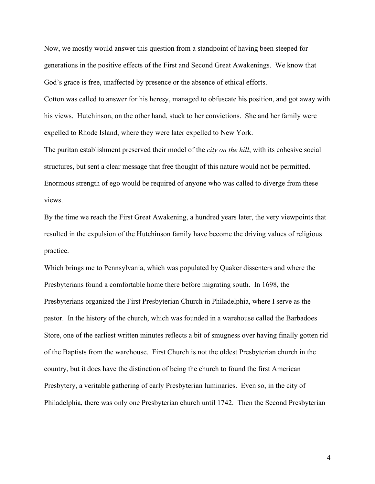Now, we mostly would answer this question from a standpoint of having been steeped for generations in the positive effects of the First and Second Great Awakenings. We know that God's grace is free, unaffected by presence or the absence of ethical efforts.

Cotton was called to answer for his heresy, managed to obfuscate his position, and got away with his views. Hutchinson, on the other hand, stuck to her convictions. She and her family were expelled to Rhode Island, where they were later expelled to New York.

The puritan establishment preserved their model of the *city on the hill*, with its cohesive social structures, but sent a clear message that free thought of this nature would not be permitted. Enormous strength of ego would be required of anyone who was called to diverge from these views.

By the time we reach the First Great Awakening, a hundred years later, the very viewpoints that resulted in the expulsion of the Hutchinson family have become the driving values of religious practice.

Which brings me to Pennsylvania, which was populated by Quaker dissenters and where the Presbyterians found a comfortable home there before migrating south. In 1698, the Presbyterians organized the First Presbyterian Church in Philadelphia, where I serve as the pastor. In the history of the church, which was founded in a warehouse called the Barbadoes Store, one of the earliest written minutes reflects a bit of smugness over having finally gotten rid of the Baptists from the warehouse. First Church is not the oldest Presbyterian church in the country, but it does have the distinction of being the church to found the first American Presbytery, a veritable gathering of early Presbyterian luminaries. Even so, in the city of Philadelphia, there was only one Presbyterian church until 1742. Then the Second Presbyterian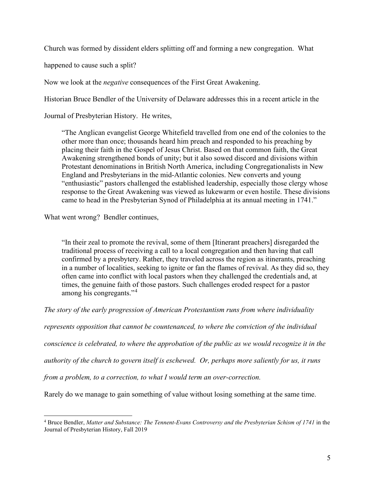Church was formed by dissident elders splitting off and forming a new congregation. What

happened to cause such a split?

Now we look at the *negative* consequences of the First Great Awakening.

Historian Bruce Bendler of the University of Delaware addresses this in a recent article in the

Journal of Presbyterian History. He writes,

"The Anglican evangelist George Whitefield travelled from one end of the colonies to the other more than once; thousands heard him preach and responded to his preaching by placing their faith in the Gospel of Jesus Christ. Based on that common faith, the Great Awakening strengthened bonds of unity; but it also sowed discord and divisions within Protestant denominations in British North America, including Congregationalists in New England and Presbyterians in the mid-Atlantic colonies. New converts and young "enthusiastic" pastors challenged the established leadership, especially those clergy whose response to the Great Awakening was viewed as lukewarm or even hostile. These divisions came to head in the Presbyterian Synod of Philadelphia at its annual meeting in 1741."

What went wrong? Bendler continues,

"In their zeal to promote the revival, some of them [Itinerant preachers] disregarded the traditional process of receiving a call to a local congregation and then having that call confirmed by a presbytery. Rather, they traveled across the region as itinerants, preaching in a number of localities, seeking to ignite or fan the flames of revival. As they did so, they often came into conflict with local pastors when they challenged the credentials and, at times, the genuine faith of those pastors. Such challenges eroded respect for a pastor among his congregants."[4](#page-4-0)

*The story of the early progression of American Protestantism runs from where individuality* 

*represents opposition that cannot be countenanced, to where the conviction of the individual* 

*conscience is celebrated, to where the approbation of the public as we would recognize it in the* 

*authority of the church to govern itself is eschewed. Or, perhaps more saliently for us, it runs* 

*from a problem, to a correction, to what I would term an over-correction.*

Rarely do we manage to gain something of value without losing something at the same time.

<span id="page-4-0"></span><sup>4</sup> Bruce Bendler, *Matter and Substance: The Tennent-Evans Controversy and the Presbyterian Schism of 1741* in the Journal of Presbyterian History, Fall 2019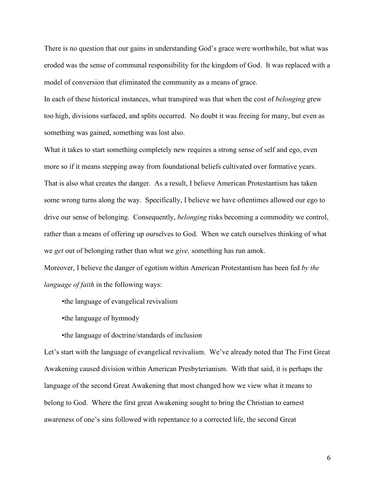There is no question that our gains in understanding God's grace were worthwhile, but what was eroded was the sense of communal responsibility for the kingdom of God. It was replaced with a model of conversion that eliminated the community as a means of grace.

In each of these historical instances, what transpired was that when the cost of *belonging* grew too high, divisions surfaced, and splits occurred. No doubt it was freeing for many, but even as something was gained, something was lost also.

What it takes to start something completely new requires a strong sense of self and ego, even more so if it means stepping away from foundational beliefs cultivated over formative years. That is also what creates the danger. As a result, I believe American Protestantism has taken some wrong turns along the way. Specifically, I believe we have oftentimes allowed our ego to drive our sense of belonging. Consequently, *belonging* risks becoming a commodity we control, rather than a means of offering up ourselves to God. When we catch ourselves thinking of what we *get* out of belonging rather than what we *give,* something has run amok.

Moreover, I believe the danger of egotism within American Protestantism has been fed *by the language of faith* in the following ways:

•the language of evangelical revivalism

•the language of hymnody

•the language of doctrine/standards of inclusion

Let's start with the language of evangelical revivalism. We've already noted that The First Great Awakening caused division within American Presbyterianism. With that said, it is perhaps the language of the second Great Awakening that most changed how we view what it means to belong to God. Where the first great Awakening sought to bring the Christian to earnest awareness of one's sins followed with repentance to a corrected life, the second Great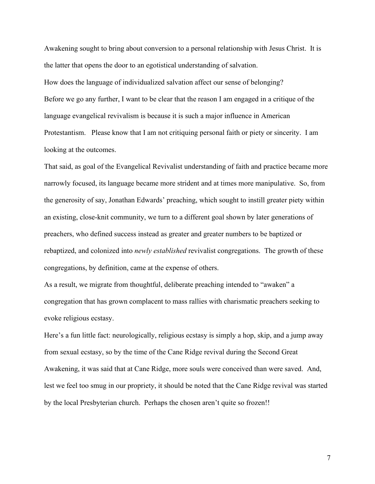Awakening sought to bring about conversion to a personal relationship with Jesus Christ. It is the latter that opens the door to an egotistical understanding of salvation.

How does the language of individualized salvation affect our sense of belonging? Before we go any further, I want to be clear that the reason I am engaged in a critique of the language evangelical revivalism is because it is such a major influence in American Protestantism. Please know that I am not critiquing personal faith or piety or sincerity. I am looking at the outcomes.

That said, as goal of the Evangelical Revivalist understanding of faith and practice became more narrowly focused, its language became more strident and at times more manipulative. So, from the generosity of say, Jonathan Edwards' preaching, which sought to instill greater piety within an existing, close-knit community, we turn to a different goal shown by later generations of preachers, who defined success instead as greater and greater numbers to be baptized or rebaptized, and colonized into *newly established* revivalist congregations. The growth of these congregations, by definition, came at the expense of others.

As a result, we migrate from thoughtful, deliberate preaching intended to "awaken" a congregation that has grown complacent to mass rallies with charismatic preachers seeking to evoke religious ecstasy.

Here's a fun little fact: neurologically, religious ecstasy is simply a hop, skip, and a jump away from sexual ecstasy, so by the time of the Cane Ridge revival during the Second Great Awakening, it was said that at Cane Ridge, more souls were conceived than were saved. And, lest we feel too smug in our propriety, it should be noted that the Cane Ridge revival was started by the local Presbyterian church. Perhaps the chosen aren't quite so frozen!!

7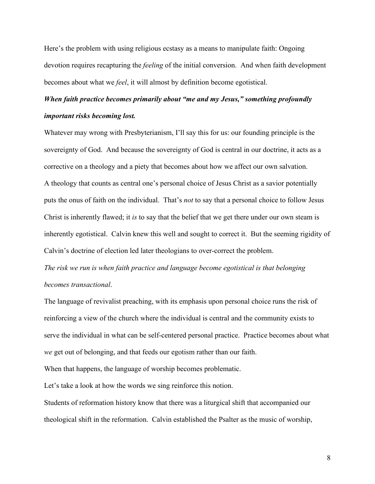Here's the problem with using religious ecstasy as a means to manipulate faith: Ongoing devotion requires recapturing the *feeling* of the initial conversion. And when faith development becomes about what we *feel*, it will almost by definition become egotistical.

# *When faith practice becomes primarily about "me and my Jesus," something profoundly important risks becoming lost.*

Whatever may wrong with Presbyterianism, I'll say this for us: our founding principle is the sovereignty of God. And because the sovereignty of God is central in our doctrine, it acts as a corrective on a theology and a piety that becomes about how we affect our own salvation. A theology that counts as central one's personal choice of Jesus Christ as a savior potentially puts the onus of faith on the individual. That's *not* to say that a personal choice to follow Jesus Christ is inherently flawed; it *is* to say that the belief that we get there under our own steam is inherently egotistical. Calvin knew this well and sought to correct it. But the seeming rigidity of Calvin's doctrine of election led later theologians to over-correct the problem.

*The risk we run is when faith practice and language become egotistical is that belonging becomes transactional*.

The language of revivalist preaching, with its emphasis upon personal choice runs the risk of reinforcing a view of the church where the individual is central and the community exists to serve the individual in what can be self-centered personal practice. Practice becomes about what *we* get out of belonging, and that feeds our egotism rather than our faith.

When that happens, the language of worship becomes problematic.

Let's take a look at how the words we sing reinforce this notion.

Students of reformation history know that there was a liturgical shift that accompanied our theological shift in the reformation. Calvin established the Psalter as the music of worship,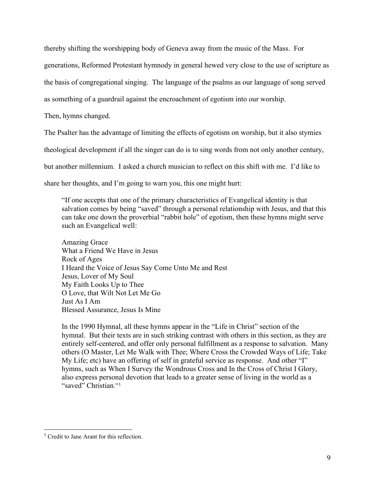thereby shifting the worshipping body of Geneva away from the music of the Mass. For

generations, Reformed Protestant hymnody in general hewed very close to the use of scripture as

the basis of congregational singing. The language of the psalms as our language of song served

as something of a guardrail against the encroachment of egotism into our worship.

Then, hymns changed.

The Psalter has the advantage of limiting the effects of egotism on worship, but it also stymies

theological development if all the singer can do is to sing words from not only another century,

but another millennium. I asked a church musician to reflect on this shift with me. I'd like to

share her thoughts, and I'm going to warn you, this one might hurt:

"If one accepts that one of the primary characteristics of Evangelical identity is that salvation comes by being "saved" through a personal relationship with Jesus, and that this can take one down the proverbial "rabbit hole" of egotism, then these hymns might serve such an Evangelical well:

Amazing Grace What a Friend We Have in Jesus Rock of Ages I Heard the Voice of Jesus Say Come Unto Me and Rest Jesus, Lover of My Soul My Faith Looks Up to Thee O Love, that Wilt Not Let Me Go Just As I Am Blessed Assurance, Jesus Is Mine

In the 1990 Hymnal, all these hymns appear in the "Life in Christ" section of the hymnal. But their texts are in such striking contrast with others in this section, as they are entirely self-centered, and offer only personal fulfillment as a response to salvation. Many others (O Master, Let Me Walk with Thee; Where Cross the Crowded Ways of Life; Take My Life; etc) have an offering of self in grateful service as response. And other "I" hymns, such as When I Survey the Wondrous Cross and In the Cross of Christ I Glory, also express personal devotion that leads to a greater sense of living in the world as a "saved" Christian."<sup>[5](#page-8-0)</sup>

<span id="page-8-0"></span><sup>&</sup>lt;sup>5</sup> Credit to Jane Arant for this reflection.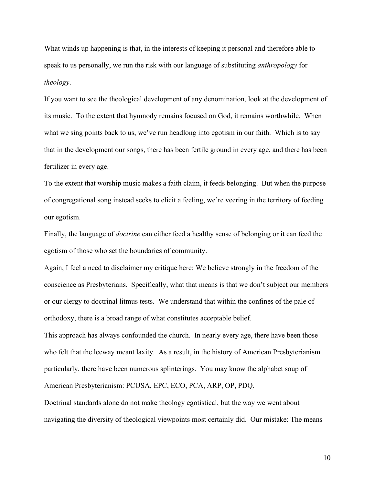What winds up happening is that, in the interests of keeping it personal and therefore able to speak to us personally, we run the risk with our language of substituting *anthropology* for *theology*.

If you want to see the theological development of any denomination, look at the development of its music. To the extent that hymnody remains focused on God, it remains worthwhile. When what we sing points back to us, we've run headlong into egotism in our faith. Which is to say that in the development our songs, there has been fertile ground in every age, and there has been fertilizer in every age.

To the extent that worship music makes a faith claim, it feeds belonging. But when the purpose of congregational song instead seeks to elicit a feeling, we're veering in the territory of feeding our egotism.

Finally, the language of *doctrine* can either feed a healthy sense of belonging or it can feed the egotism of those who set the boundaries of community.

Again, I feel a need to disclaimer my critique here: We believe strongly in the freedom of the conscience as Presbyterians. Specifically, what that means is that we don't subject our members or our clergy to doctrinal litmus tests. We understand that within the confines of the pale of orthodoxy, there is a broad range of what constitutes acceptable belief.

This approach has always confounded the church. In nearly every age, there have been those who felt that the leeway meant laxity. As a result, in the history of American Presbyterianism particularly, there have been numerous splinterings. You may know the alphabet soup of American Presbyterianism: PCUSA, EPC, ECO, PCA, ARP, OP, PDQ.

Doctrinal standards alone do not make theology egotistical, but the way we went about navigating the diversity of theological viewpoints most certainly did. Our mistake: The means

10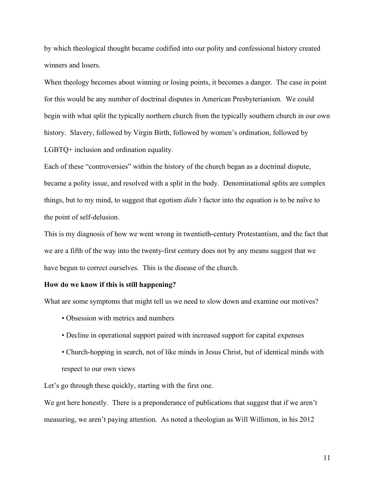by which theological thought became codified into our polity and confessional history created winners and losers.

When theology becomes about winning or losing points, it becomes a danger. The case in point for this would be any number of doctrinal disputes in American Presbyterianism. We could begin with what split the typically northern church from the typically southern church in our own history. Slavery, followed by Virgin Birth, followed by women's ordination, followed by LGBTQ+ inclusion and ordination equality.

Each of these "controversies" within the history of the church began as a doctrinal dispute, became a polity issue, and resolved with a split in the body. Denominational splits are complex things, but to my mind, to suggest that egotism *didn't* factor into the equation is to be naïve to the point of self-delusion.

This is my diagnosis of how we went wrong in twentieth-century Protestantism, and the fact that we are a fifth of the way into the twenty-first century does not by any means suggest that we have begun to correct ourselves. This is the disease of the church.

#### **How do we know if this is still happening?**

What are some symptoms that might tell us we need to slow down and examine our motives?

- Obsession with metrics and numbers
- Decline in operational support paired with increased support for capital expenses
- Church-hopping in search, not of like minds in Jesus Christ, but of identical minds with respect to our own views

Let's go through these quickly, starting with the first one.

We got here honestly. There is a preponderance of publications that suggest that if we aren't measuring, we aren't paying attention. As noted a theologian as Will Willimon, in his 2012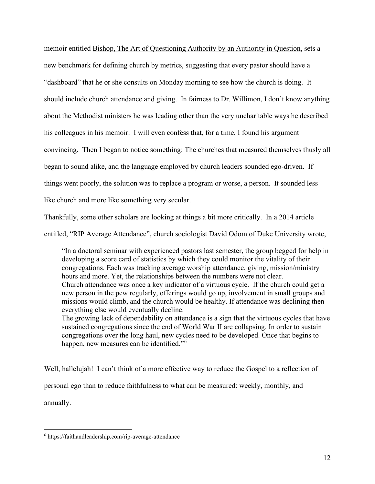memoir entitled Bishop, The Art of Questioning Authority by an Authority in Question, sets a new benchmark for defining church by metrics, suggesting that every pastor should have a "dashboard" that he or she consults on Monday morning to see how the church is doing. It should include church attendance and giving. In fairness to Dr. Willimon, I don't know anything about the Methodist ministers he was leading other than the very uncharitable ways he described his colleagues in his memoir. I will even confess that, for a time, I found his argument convincing. Then I began to notice something: The churches that measured themselves thusly all began to sound alike, and the language employed by church leaders sounded ego-driven. If things went poorly, the solution was to replace a program or worse, a person. It sounded less like church and more like something very secular.

Thankfully, some other scholars are looking at things a bit more critically. In a 2014 article

entitled, "RIP Average Attendance", church sociologist David Odom of Duke University wrote,

"In a doctoral seminar with experienced pastors last semester, the group begged for help in developing a score card of statistics by which they could monitor the vitality of their congregations. Each was tracking average worship attendance, giving, mission/ministry hours and more. Yet, the relationships between the numbers were not clear. Church attendance was once a key indicator of a virtuous cycle. If the church could get a new person in the pew regularly, offerings would go up, involvement in small groups and missions would climb, and the church would be healthy. If attendance was declining then everything else would eventually decline.

The growing lack of dependability on attendance is a sign that the virtuous cycles that have sustained congregations since the end of World War II are collapsing. In order to sustain congregations over the long haul, new cycles need to be developed. Once that begins to happen, new measures can be identified."<sup>[6](#page-11-0)</sup>

Well, hallelujah! I can't think of a more effective way to reduce the Gospel to a reflection of personal ego than to reduce faithfulness to what can be measured: weekly, monthly, and annually.

<span id="page-11-0"></span><sup>6</sup> https://faithandleadership.com/rip-average-attendance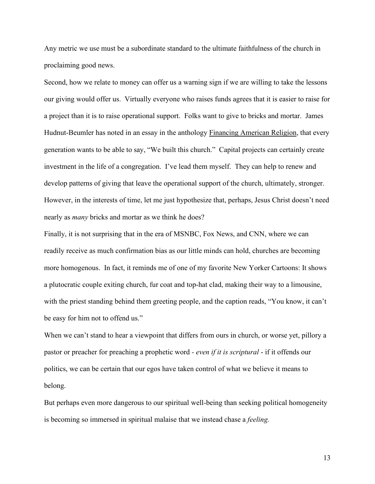Any metric we use must be a subordinate standard to the ultimate faithfulness of the church in proclaiming good news.

Second, how we relate to money can offer us a warning sign if we are willing to take the lessons our giving would offer us. Virtually everyone who raises funds agrees that it is easier to raise for a project than it is to raise operational support. Folks want to give to bricks and mortar. James Hudnut-Beumler has noted in an essay in the anthology Financing American Religion, that every generation wants to be able to say, "We built this church." Capital projects can certainly create investment in the life of a congregation. I've lead them myself. They can help to renew and develop patterns of giving that leave the operational support of the church, ultimately, stronger. However, in the interests of time, let me just hypothesize that, perhaps, Jesus Christ doesn't need nearly as *many* bricks and mortar as we think he does?

Finally, it is not surprising that in the era of MSNBC, Fox News, and CNN, where we can readily receive as much confirmation bias as our little minds can hold, churches are becoming more homogenous. In fact, it reminds me of one of my favorite New Yorker Cartoons: It shows a plutocratic couple exiting church, fur coat and top-hat clad, making their way to a limousine, with the priest standing behind them greeting people, and the caption reads, "You know, it can't be easy for him not to offend us."

When we can't stand to hear a viewpoint that differs from ours in church, or worse yet, pillory a pastor or preacher for preaching a prophetic word *- even if it is scriptural* - if it offends our politics, we can be certain that our egos have taken control of what we believe it means to belong.

But perhaps even more dangerous to our spiritual well-being than seeking political homogeneity is becoming so immersed in spiritual malaise that we instead chase a *feeling.*

13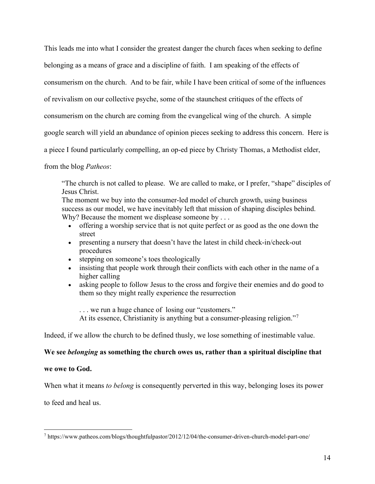This leads me into what I consider the greatest danger the church faces when seeking to define belonging as a means of grace and a discipline of faith. I am speaking of the effects of consumerism on the church. And to be fair, while I have been critical of some of the influences of revivalism on our collective psyche, some of the staunchest critiques of the effects of consumerism on the church are coming from the evangelical wing of the church. A simple google search will yield an abundance of opinion pieces seeking to address this concern. Here is a piece I found particularly compelling, an op-ed piece by Christy Thomas, a Methodist elder,

from the blog *Patheos*:

"The church is not called to please. We are called to make, or I prefer, "shape" disciples of Jesus Christ.

The moment we buy into the consumer-led model of church growth, using business success as our model, we have inevitably left that mission of shaping disciples behind. Why? Because the moment we displease someone by . . .

- offering a worship service that is not quite perfect or as good as the one down the street
- presenting a nursery that doesn't have the latest in child check-in/check-out procedures
- stepping on someone's toes theologically
- insisting that people work through their conflicts with each other in the name of a higher calling
- asking people to follow Jesus to the cross and forgive their enemies and do good to them so they might really experience the resurrection

. . . we run a huge chance of losing our "customers." At its essence, Christianity is anything but a consumer-pleasing religion."<sup>[7](#page-13-0)</sup>

Indeed, if we allow the church to be defined thusly, we lose something of inestimable value.

# **We see** *belonging* **as something the church owes us, rather than a spiritual discipline that**

#### **we owe to God.**

When what it means *to belong* is consequently perverted in this way, belonging loses its power

to feed and heal us.

<span id="page-13-0"></span><sup>7</sup> https://www.patheos.com/blogs/thoughtfulpastor/2012/12/04/the-consumer-driven-church-model-part-one/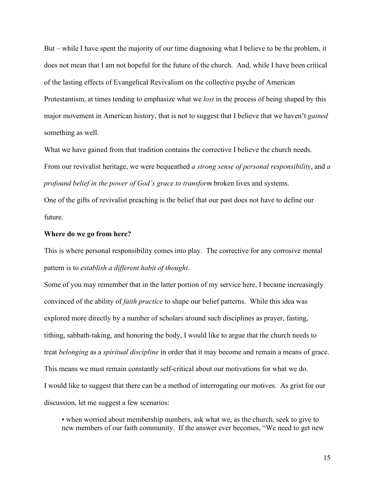But – while I have spent the majority of our time diagnosing what I believe to be the problem, it does not mean that I am not hopeful for the future of the church. And, while I have been critical of the lasting effects of Evangelical Revivalism on the collective psyche of American Protestantism, at times tending to emphasize what we *lost* in the process of being shaped by this major movement in American history, that is not to suggest that I believe that we haven't *gained* something as well.

What we have gained from that tradition contains the corrective I believe the church needs. From our revivalist heritage, we were bequeathed *a strong sense of personal responsibility*, and *a profound belief in the power of God's grace to transform* broken lives and systems.

One of the gifts of revivalist preaching is the belief that our past does not have to define our future.

# **Where do we go from here?**

This is where personal responsibility comes into play. The corrective for any corrosive mental pattern is to *establish a different habit of thought*.

Some of you may remember that in the latter portion of my service here, I became increasingly convinced of the ability of *faith practice* to shape our belief patterns. While this idea was explored more directly by a number of scholars around such disciplines as prayer, fasting, tithing, sabbath-taking, and honoring the body, I would like to argue that the church needs to treat *belonging* as a *spiritual discipline* in order that it may become and remain a means of grace. This means we must remain constantly self-critical about our motivations for what we do. I would like to suggest that there can be a method of interrogating our motives. As grist for our discussion, let me suggest a few scenarios:

• when worried about membership numbers, ask what we, as the church, seek to give to new members of our faith community. If the answer ever becomes, "We need to get new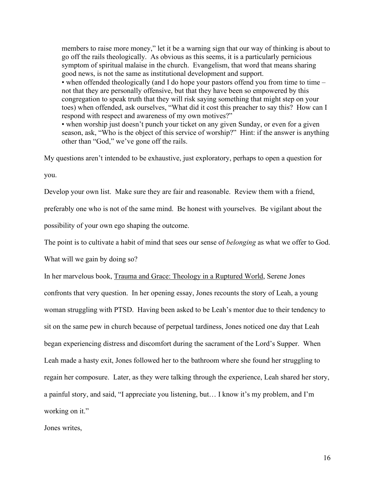members to raise more money," let it be a warning sign that our way of thinking is about to go off the rails theologically. As obvious as this seems, it is a particularly pernicious symptom of spiritual malaise in the church. Evangelism, that word that means sharing good news, is not the same as institutional development and support. • when offended theologically (and I do hope your pastors offend you from time to time – not that they are personally offensive, but that they have been so empowered by this congregation to speak truth that they will risk saying something that might step on your

toes) when offended, ask ourselves, "What did it cost this preacher to say this? How can I respond with respect and awareness of my own motives?"

• when worship just doesn't punch your ticket on any given Sunday, or even for a given season, ask, "Who is the object of this service of worship?" Hint: if the answer is anything other than "God," we've gone off the rails.

My questions aren't intended to be exhaustive, just exploratory, perhaps to open a question for

you.

Develop your own list. Make sure they are fair and reasonable. Review them with a friend,

preferably one who is not of the same mind. Be honest with yourselves. Be vigilant about the

possibility of your own ego shaping the outcome.

The point is to cultivate a habit of mind that sees our sense of *belonging* as what we offer to God.

What will we gain by doing so?

In her marvelous book, Trauma and Grace: Theology in a Ruptured World, Serene Jones confronts that very question. In her opening essay, Jones recounts the story of Leah, a young woman struggling with PTSD. Having been asked to be Leah's mentor due to their tendency to sit on the same pew in church because of perpetual tardiness, Jones noticed one day that Leah began experiencing distress and discomfort during the sacrament of the Lord's Supper. When Leah made a hasty exit, Jones followed her to the bathroom where she found her struggling to regain her composure. Later, as they were talking through the experience, Leah shared her story, a painful story, and said, "I appreciate you listening, but… I know it's my problem, and I'm working on it."

Jones writes,